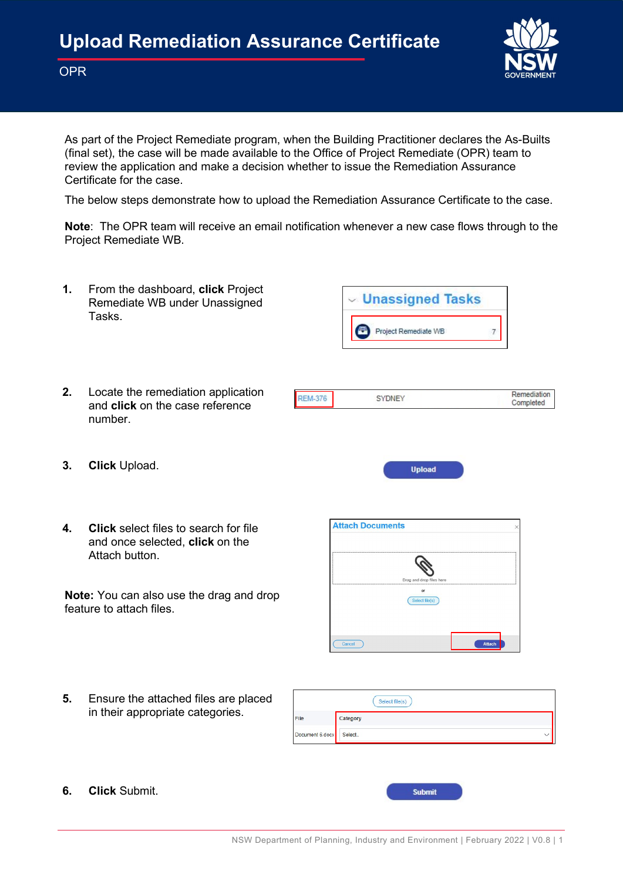

**OPR** 

As part of the Project Remediate program, when the Building Practitioner declares the As-Builts (final set), the case will be made available to the Office of Project Remediate (OPR) team to review the application and make a decision whether to issue the Remediation Assurance Certificate for the case.

The below steps demonstrate how to upload the Remediation Assurance Certificate to the case.

Note: The OPR team will receive an email notification whenever a new case flows through to the Project Remediate WB.



6. Click Submit.

**Submit**